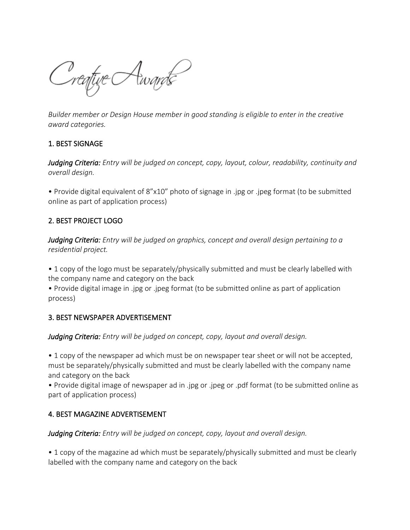Creative Awards

*Builder member or Design House member in good standing is eligible to enter in the creative award categories.*

#### 1. BEST SIGNAGE

*Judging Criteria: Entry will be judged on concept, copy, layout, colour, readability, continuity and overall design.*

• Provide digital equivalent of 8"x10" photo of signage in .jpg or .jpeg format (to be submitted online as part of application process)

#### 2. BEST PROJECT LOGO

*Judging Criteria: Entry will be judged on graphics, concept and overall design pertaining to a residential project.*

• 1 copy of the logo must be separately/physically submitted and must be clearly labelled with the company name and category on the back

• Provide digital image in .jpg or .jpeg format (to be submitted online as part of application process)

#### 3. BEST NEWSPAPER ADVERTISEMENT

*Judging Criteria: Entry will be judged on concept, copy, layout and overall design.*

• 1 copy of the newspaper ad which must be on newspaper tear sheet or will not be accepted, must be separately/physically submitted and must be clearly labelled with the company name and category on the back

• Provide digital image of newspaper ad in .jpg or .jpeg or .pdf format (to be submitted online as part of application process)

#### 4. BEST MAGAZINE ADVERTISEMENT

*Judging Criteria: Entry will be judged on concept, copy, layout and overall design.*

• 1 copy of the magazine ad which must be separately/physically submitted and must be clearly labelled with the company name and category on the back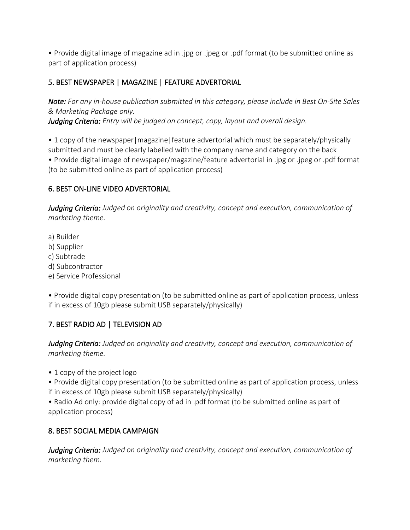• Provide digital image of magazine ad in .jpg or .jpeg or .pdf format (to be submitted online as part of application process)

## 5. BEST NEWSPAPER | MAGAZINE | FEATURE ADVERTORIAL

*Note: For any in-house publication submitted in this category, please include in Best On-Site Sales & Marketing Package only.*

*Judging Criteria: Entry will be judged on concept, copy, layout and overall design.*

• 1 copy of the newspaper | magazine | feature advertorial which must be separately/physically submitted and must be clearly labelled with the company name and category on the back • Provide digital image of newspaper/magazine/feature advertorial in .jpg or .jpeg or .pdf format (to be submitted online as part of application process)

### 6. BEST ON-LINE VIDEO ADVERTORIAL

*Judging Criteria: Judged on originality and creativity, concept and execution, communication of marketing theme.*

a) Builder

- b) Supplier
- c) Subtrade
- d) Subcontractor
- e) Service Professional

• Provide digital copy presentation (to be submitted online as part of application process, unless if in excess of 10gb please submit USB separately/physically)

# 7. BEST RADIO AD | TELEVISION AD

*Judging Criteria: Judged on originality and creativity, concept and execution, communication of marketing theme.*

• 1 copy of the project logo

• Provide digital copy presentation (to be submitted online as part of application process, unless if in excess of 10gb please submit USB separately/physically)

• Radio Ad only: provide digital copy of ad in .pdf format (to be submitted online as part of application process)

### 8. BEST SOCIAL MEDIA CAMPAIGN

*Judging Criteria: Judged on originality and creativity, concept and execution, communication of marketing them.*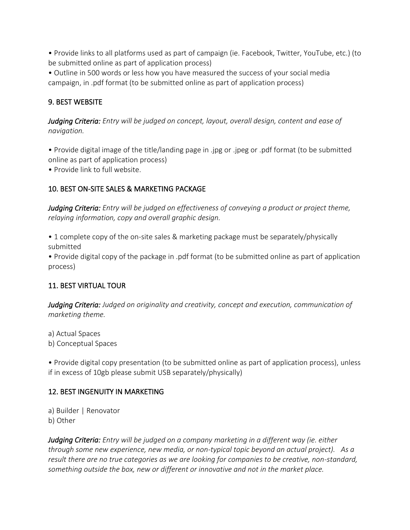• Provide links to all platforms used as part of campaign (ie. Facebook, Twitter, YouTube, etc.) (to be submitted online as part of application process)

• Outline in 500 words or less how you have measured the success of your social media campaign, in .pdf format (to be submitted online as part of application process)

### 9. BEST WEBSITE

*Judging Criteria: Entry will be judged on concept, layout, overall design, content and ease of navigation.*

• Provide digital image of the title/landing page in .jpg or .jpeg or .pdf format (to be submitted online as part of application process)

• Provide link to full website.

### 10. BEST ON-SITE SALES & MARKETING PACKAGE

*Judging Criteria: Entry will be judged on effectiveness of conveying a product or project theme, relaying information, copy and overall graphic design.*

• 1 complete copy of the on-site sales & marketing package must be separately/physically submitted

• Provide digital copy of the package in .pdf format (to be submitted online as part of application process)

### 11. BEST VIRTUAL TOUR

*Judging Criteria: Judged on originality and creativity, concept and execution, communication of marketing theme.*

a) Actual Spaces b) Conceptual Spaces

• Provide digital copy presentation (to be submitted online as part of application process), unless if in excess of 10gb please submit USB separately/physically)

#### 12. BEST INGENUITY IN MARKETING

a) Builder | Renovator b) Other

*Judging Criteria: Entry will be judged on a company marketing in a different way (ie. either through some new experience, new media, or non-typical topic beyond an actual project). As a result there are no true categories as we are looking for companies to be creative, non-standard, something outside the box, new or different or innovative and not in the market place.*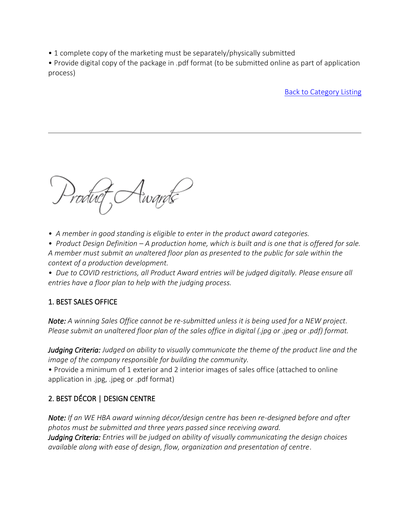• 1 complete copy of the marketing must be separately/physically submitted

• Provide digital copy of the package in .pdf format (to be submitted online as part of application process)

Back to Category Listing

*• A member in good standing is eligible to enter in the product award categories.*

*• Product Design Definition – A production home, which is built and is one that is offered for sale. A member must submit an unaltered floor plan as presented to the public for sale within the context of a production development.*

*• Due to COVID restrictions, all Product Award entries will be judged digitally. Please ensure all entries have a floor plan to help with the judging process.*

# 1. BEST SALES OFFICE

*Note: A winning Sales Office cannot be re-submitted unless it is being used for a NEW project. Please submit an unaltered floor plan of the sales office in digital (.jpg or .jpeg or .pdf) format.*

*Judging Criteria: Judged on ability to visually communicate the theme of the product line and the image of the company responsible for building the community.*

• Provide a minimum of 1 exterior and 2 interior images of sales office (attached to online application in .jpg, .jpeg or .pdf format)

# 2. BEST DÉCOR | DESIGN CENTRE

*Note: If an WE HBA award winning décor/design centre has been re-designed before and after photos must be submitted and three years passed since receiving award. Judging Criteria: Entries will be judged on ability of visually communicating the design choices available along with ease of design, flow, organization and presentation of centre*.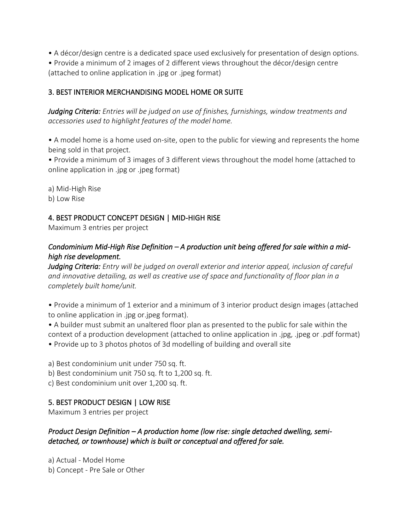• A décor/design centre is a dedicated space used exclusively for presentation of design options.

• Provide a minimum of 2 images of 2 different views throughout the décor/design centre (attached to online application in .jpg or .jpeg format)

## 3. BEST INTERIOR MERCHANDISING MODEL HOME OR SUITE

*Judging Criteria: Entries will be judged on use of finishes, furnishings, window treatments and accessories used to highlight features of the model home.*

• A model home is a home used on-site, open to the public for viewing and represents the home being sold in that project.

• Provide a minimum of 3 images of 3 different views throughout the model home (attached to online application in .jpg or .jpeg format)

a) Mid-High Rise

b) Low Rise

## 4. BEST PRODUCT CONCEPT DESIGN | MID-HIGH RISE

Maximum 3 entries per project

## *Condominium Mid-High Rise Definition – A production unit being offered for sale within a midhigh rise development.*

*Judging Criteria: Entry will be judged on overall exterior and interior appeal, inclusion of careful and innovative detailing, as well as creative use of space and functionality of floor plan in a completely built home/unit.*

• Provide a minimum of 1 exterior and a minimum of 3 interior product design images (attached to online application in .jpg or.jpeg format).

• A builder must submit an unaltered floor plan as presented to the public for sale within the context of a production development (attached to online application in .jpg, .jpeg or .pdf format) • Provide up to 3 photos photos of 3d modelling of building and overall site

a) Best condominium unit under 750 sq. ft.

b) Best condominium unit 750 sq. ft to 1,200 sq. ft.

c) Best condominium unit over 1,200 sq. ft.

### 5. BEST PRODUCT DESIGN | LOW RISE

Maximum 3 entries per project

*Product Design Definition – A production home (low rise: single detached dwelling, semidetached, or townhouse) which is built or conceptual and offered for sale.*

a) Actual - Model Home b) Concept - Pre Sale or Other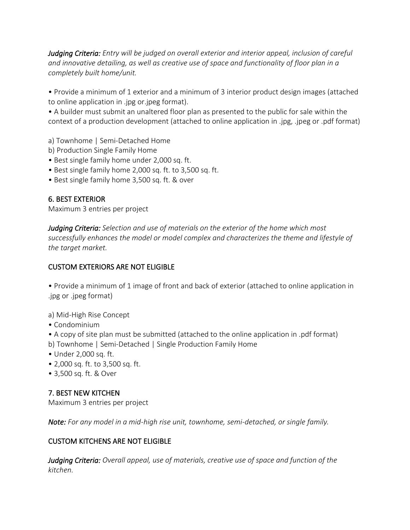*Judging Criteria: Entry will be judged on overall exterior and interior appeal, inclusion of careful and innovative detailing, as well as creative use of space and functionality of floor plan in a completely built home/unit.*

• Provide a minimum of 1 exterior and a minimum of 3 interior product design images (attached to online application in .jpg or.jpeg format).

• A builder must submit an unaltered floor plan as presented to the public for sale within the context of a production development (attached to online application in .jpg, .jpeg or .pdf format)

- a) Townhome | Semi-Detached Home
- b) Production Single Family Home
- Best single family home under 2,000 sq. ft.
- Best single family home 2,000 sq. ft. to 3,500 sq. ft.
- Best single family home 3,500 sq. ft. & over

### 6. BEST EXTERIOR

Maximum 3 entries per project

*Judging Criteria: Selection and use of materials on the exterior of the home which most successfully enhances the model or model complex and characterizes the theme and lifestyle of the target market.*

## CUSTOM EXTERIORS ARE NOT ELIGIBLE

• Provide a minimum of 1 image of front and back of exterior (attached to online application in .jpg or .jpeg format)

- a) Mid-High Rise Concept
- Condominium

• A copy of site plan must be submitted (attached to the online application in .pdf format)

- b) Townhome | Semi-Detached | Single Production Family Home
- Under 2,000 sq. ft.
- 2,000 sq. ft. to 3,500 sq. ft.
- 3,500 sq. ft. & Over

# 7. BEST NEW KITCHEN

Maximum 3 entries per project

*Note: For any model in a mid-high rise unit, townhome, semi-detached, or single family.* 

### CUSTOM KITCHENS ARE NOT ELIGIBLE

*Judging Criteria: Overall appeal, use of materials, creative use of space and function of the kitchen.*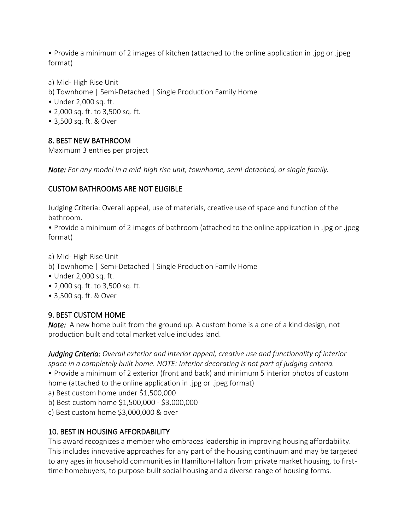• Provide a minimum of 2 images of kitchen (attached to the online application in .jpg or .jpeg format)

a) Mid- High Rise Unit

- b) Townhome | Semi-Detached | Single Production Family Home
- Under 2,000 sq. ft.
- 2,000 sq. ft. to 3,500 sq. ft.
- 3,500 sq. ft. & Over

### 8. BEST NEW BATHROOM

Maximum 3 entries per project

*Note: For any model in a mid-high rise unit, townhome, semi-detached, or single family.* 

### CUSTOM BATHROOMS ARE NOT ELIGIBLE

Judging Criteria: Overall appeal, use of materials, creative use of space and function of the bathroom.

• Provide a minimum of 2 images of bathroom (attached to the online application in .jpg or .jpeg format)

a) Mid- High Rise Unit

- b) Townhome | Semi-Detached | Single Production Family Home
- Under 2,000 sq. ft.
- 2,000 sq. ft. to 3,500 sq. ft.
- 3,500 sq. ft. & Over

### 9. BEST CUSTOM HOME

*Note:* A new home built from the ground up. A custom home is a one of a kind design, not production built and total market value includes land.

*Judging Criteria: Overall exterior and interior appeal, creative use and functionality of interior space in a completely built home. NOTE: Interior decorating is not part of judging criteria.* • Provide a minimum of 2 exterior (front and back) and minimum 5 interior photos of custom home (attached to the online application in .jpg or .jpeg format) a) Best custom home under \$1,500,000

b) Best custom home \$1,500,000 - \$3,000,000

c) Best custom home \$3,000,000 & over

### 10. BEST IN HOUSING AFFORDABILITY

This award recognizes a member who embraces leadership in improving housing affordability. This includes innovative approaches for any part of the housing continuum and may be targeted to any ages in household communities in Hamilton-Halton from private market housing, to firsttime homebuyers, to purpose-built social housing and a diverse range of housing forms.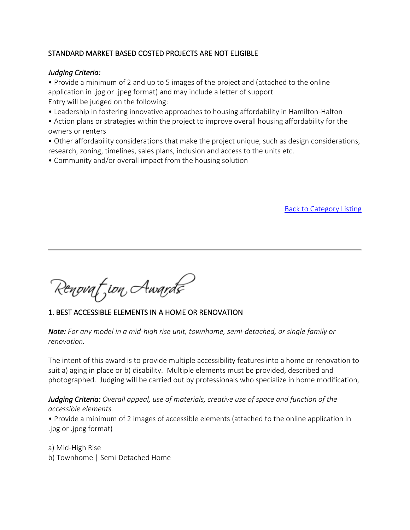### STANDARD MARKET BASED COSTED PROJECTS ARE NOT ELIGIBLE

#### *Judging Criteria:*

• Provide a minimum of 2 and up to 5 images of the project and (attached to the online application in .jpg or .jpeg format) and may include a letter of support Entry will be judged on the following:

- Leadership in fostering innovative approaches to housing affordability in Hamilton-Halton
- Action plans or strategies within the project to improve overall housing affordability for the owners or renters
- Other affordability considerations that make the project unique, such as design considerations, research, zoning, timelines, sales plans, inclusion and access to the units etc.
- Community and/or overall impact from the housing solution

Back to Category Listing

Renovat jon Awards

### 1. BEST ACCESSIBLE ELEMENTS IN A HOME OR RENOVATION

*Note: For any model in a mid-high rise unit, townhome, semi-detached, or single family or renovation.* 

The intent of this award is to provide multiple accessibility features into a home or renovation to suit a) aging in place or b) disability. Multiple elements must be provided, described and photographed. Judging will be carried out by professionals who specialize in home modification,

*Judging Criteria: Overall appeal, use of materials, creative use of space and function of the accessible elements.*

• Provide a minimum of 2 images of accessible elements (attached to the online application in .jpg or .jpeg format)

a) Mid-High Rise b) Townhome | Semi-Detached Home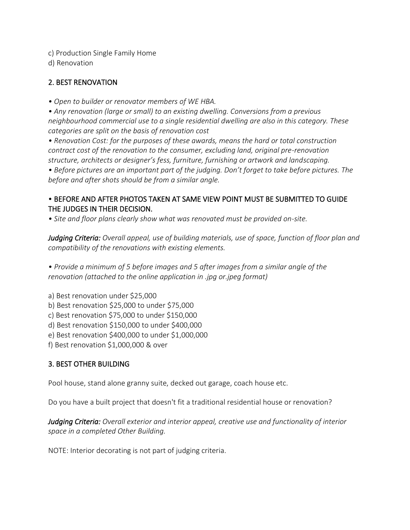c) Production Single Family Home

d) Renovation

### 2. BEST RENOVATION

*• Open to builder or renovator members of WE HBA.*

*• Any renovation (large or small) to an existing dwelling. Conversions from a previous neighbourhood commercial use to a single residential dwelling are also in this category. These categories are split on the basis of renovation cost*

*• Renovation Cost: for the purposes of these awards, means the hard or total construction contract cost of the renovation to the consumer, excluding land, original pre-renovation structure, architects or designer's fess, furniture, furnishing or artwork and landscaping.*

*• Before pictures are an important part of the judging. Don't forget to take before pictures. The before and after shots should be from a similar angle.*

#### • BEFORE AND AFTER PHOTOS TAKEN AT SAME VIEW POINT MUST BE SUBMITTED TO GUIDE THE JUDGES IN THEIR DECISION.

*• Site and floor plans clearly show what was renovated must be provided on-site.*

*Judging Criteria: Overall appeal, use of building materials, use of space, function of floor plan and compatibility of the renovations with existing elements.*

*• Provide a minimum of 5 before images and 5 after images from a similar angle of the renovation (attached to the online application in .jpg or.jpeg format)*

a) Best renovation under \$25,000

- b) Best renovation \$25,000 to under \$75,000
- c) Best renovation \$75,000 to under \$150,000
- d) Best renovation \$150,000 to under \$400,000
- e) Best renovation \$400,000 to under \$1,000,000
- f) Best renovation \$1,000,000 & over

#### 3. BEST OTHER BUILDING

Pool house, stand alone granny suite, decked out garage, coach house etc.

Do you have a built project that doesn't fit a traditional residential house or renovation?

*Judging Criteria: Overall exterior and interior appeal, creative use and functionality of interior space in a completed Other Building.*

NOTE: Interior decorating is not part of judging criteria.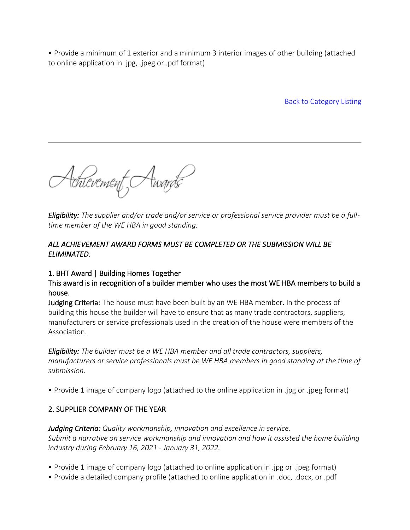• Provide a minimum of 1 exterior and a minimum 3 interior images of other building (attached to online application in .jpg, .jpeg or .pdf format)

Back to Category Listing

Achievement, Awards

*Eligibility: The supplier and/or trade and/or service or professional service provider must be a fulltime member of the WE HBA in good standing.*

### *ALL ACHIEVEMENT AWARD FORMS MUST BE COMPLETED OR THE SUBMISSION WILL BE ELIMINATED.*

### 1. BHT Award | Building Homes Together

This award is in recognition of a builder member who uses the most WE HBA members to build a house.

Judging Criteria: The house must have been built by an WE HBA member. In the process of building this house the builder will have to ensure that as many trade contractors, suppliers, manufacturers or service professionals used in the creation of the house were members of the Association.

*Eligibility: The builder must be a WE HBA member and all trade contractors, suppliers, manufacturers or service professionals must be WE HBA members in good standing at the time of submission.*

• Provide 1 image of company logo (attached to the online application in .jpg or .jpeg format)

# 2. SUPPLIER COMPANY OF THE YEAR

*Judging Criteria: Quality workmanship, innovation and excellence in service. Submit a narrative on service workmanship and innovation and how it assisted the home building industry during February 16, 2021 - January 31, 2022.*

- Provide 1 image of company logo (attached to online application in .jpg or .jpeg format)
- Provide a detailed company profile (attached to online application in .doc, .docx, or .pdf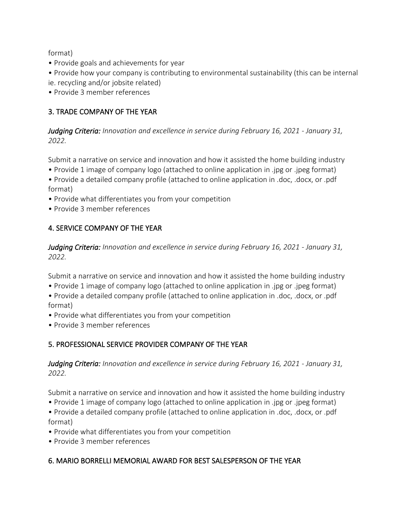format)

- Provide goals and achievements for year
- Provide how your company is contributing to environmental sustainability (this can be internal ie. recycling and/or jobsite related)
- Provide 3 member references

### 3. TRADE COMPANY OF THE YEAR

*Judging Criteria: Innovation and excellence in service during February 16, 2021 - January 31, 2022.*

Submit a narrative on service and innovation and how it assisted the home building industry

- Provide 1 image of company logo (attached to online application in .jpg or .jpeg format)
- Provide a detailed company profile (attached to online application in .doc, .docx, or .pdf format)
- Provide what differentiates you from your competition
- Provide 3 member references

#### 4. SERVICE COMPANY OF THE YEAR

*Judging Criteria: Innovation and excellence in service during February 16, 2021 - January 31, 2022.*

Submit a narrative on service and innovation and how it assisted the home building industry

• Provide 1 image of company logo (attached to online application in .jpg or .jpeg format)

• Provide a detailed company profile (attached to online application in .doc, .docx, or .pdf format)

- Provide what differentiates you from your competition
- Provide 3 member references

#### 5. PROFESSIONAL SERVICE PROVIDER COMPANY OF THE YEAR

*Judging Criteria: Innovation and excellence in service during February 16, 2021 - January 31, 2022.*

Submit a narrative on service and innovation and how it assisted the home building industry

• Provide 1 image of company logo (attached to online application in .jpg or .jpeg format)

• Provide a detailed company profile (attached to online application in .doc, .docx, or .pdf format)

- Provide what differentiates you from your competition
- Provide 3 member references

### 6. MARIO BORRELLI MEMORIAL AWARD FOR BEST SALESPERSON OF THE YEAR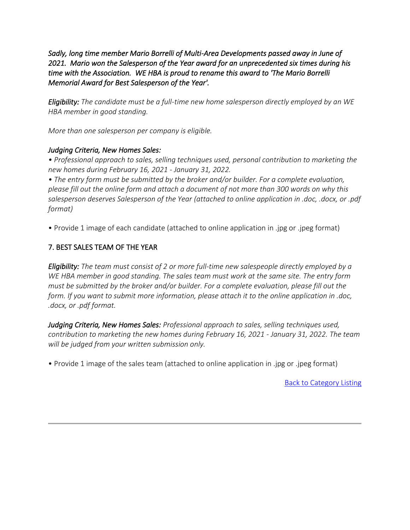*Sadly, long time member Mario Borrelli of Multi-Area Developments passed away in June of 2021. Mario won the Salesperson of the Year award for an unprecedented six times during his time with the Association. WE HBA is proud to rename this award to 'The Mario Borrelli Memorial Award for Best Salesperson of the Year'.* 

*Eligibility: The candidate must be a full-time new home salesperson directly employed by an WE HBA member in good standing.*

*More than one salesperson per company is eligible.*

### *Judging Criteria, New Homes Sales:*

*• Professional approach to sales, selling techniques used, personal contribution to marketing the new homes during February 16, 2021 - January 31, 2022.*

*• The entry form must be submitted by the broker and/or builder. For a complete evaluation, please fill out the online form and attach a document of not more than 300 words on why this salesperson deserves Salesperson of the Year (attached to online application in .doc, .docx, or .pdf format)*

• Provide 1 image of each candidate (attached to online application in .jpg or .jpeg format)

### 7. BEST SALES TEAM OF THE YEAR

*Eligibility: The team must consist of 2 or more full-time new salespeople directly employed by a WE HBA member in good standing. The sales team must work at the same site. The entry form must be submitted by the broker and/or builder. For a complete evaluation, please fill out the form. If you want to submit more information, please attach it to the online application in .doc, .docx, or .pdf format.*

*Judging Criteria, New Homes Sales: Professional approach to sales, selling techniques used, contribution to marketing the new homes during February 16, 2021 - January 31, 2022. The team will be judged from your written submission only.*

• Provide 1 image of the sales team (attached to online application in .jpg or .jpeg format)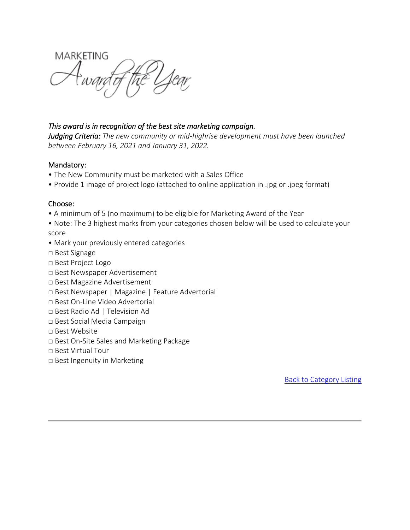**MARKETING** 

#### *This award is in recognition of the best site marketing campaign.*

*Judging Criteria: The new community or mid-highrise development must have been launched between February 16, 2021 and January 31, 2022.*

#### Mandatory:

- The New Community must be marketed with a Sales Office
- Provide 1 image of project logo (attached to online application in .jpg or .jpeg format)

#### Choose:

- A minimum of 5 (no maximum) to be eligible for Marketing Award of the Year
- Note: The 3 highest marks from your categories chosen below will be used to calculate your score
- Mark your previously entered categories
- □ Best Signage
- □ Best Project Logo
- □ Best Newspaper Advertisement
- □ Best Magazine Advertisement
- □ Best Newspaper | Magazine | Feature Advertorial
- □ Best On-Line Video Advertorial
- □ Best Radio Ad | Television Ad
- □ Best Social Media Campaign
- □ Best Website
- □ Best On-Site Sales and Marketing Package
- □ Best Virtual Tour
- □ Best Ingenuity in Marketing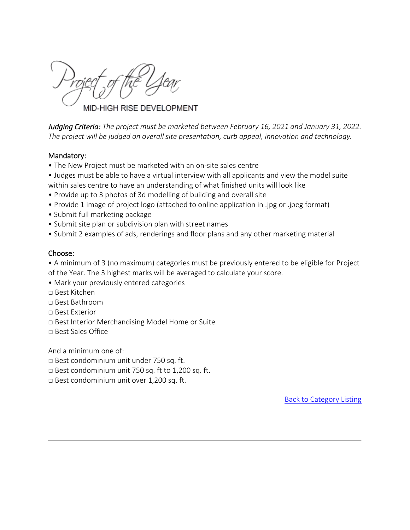MID-HIGH RISE DEVELOPMENT

*Judging Criteria: The project must be marketed between February 16, 2021 and January 31, 2022. The project will be judged on overall site presentation, curb appeal, innovation and technology.*

#### Mandatory:

- The New Project must be marketed with an on-site sales centre
- Judges must be able to have a virtual interview with all applicants and view the model suite within sales centre to have an understanding of what finished units will look like
- Provide up to 3 photos of 3d modelling of building and overall site
- Provide 1 image of project logo (attached to online application in .jpg or .jpeg format)
- Submit full marketing package
- Submit site plan or subdivision plan with street names
- Submit 2 examples of ads, renderings and floor plans and any other marketing material

#### Choose:

• A minimum of 3 (no maximum) categories must be previously entered to be eligible for Project of the Year. The 3 highest marks will be averaged to calculate your score.

- Mark your previously entered categories
- □ Best Kitchen
- □ Best Bathroom
- □ Best Exterior
- □ Best Interior Merchandising Model Home or Suite
- □ Best Sales Office

And a minimum one of:

- □ Best condominium unit under 750 sq. ft.
- $\Box$  Best condominium unit 750 sq. ft to 1,200 sq. ft.
- □ Best condominium unit over 1,200 sq. ft.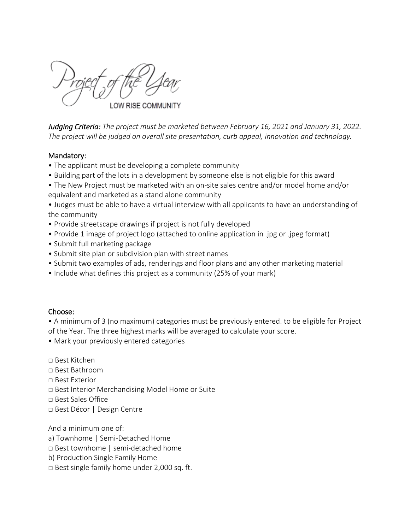*Judging Criteria: The project must be marketed between February 16, 2021 and January 31, 2022. The project will be judged on overall site presentation, curb appeal, innovation and technology.*

#### Mandatory:

- The applicant must be developing a complete community
- Building part of the lots in a development by someone else is not eligible for this award
- The New Project must be marketed with an on-site sales centre and/or model home and/or equivalent and marketed as a stand alone community

• Judges must be able to have a virtual interview with all applicants to have an understanding of the community

- Provide streetscape drawings if project is not fully developed
- Provide 1 image of project logo (attached to online application in .jpg or .jpeg format)
- Submit full marketing package
- Submit site plan or subdivision plan with street names
- Submit two examples of ads, renderings and floor plans and any other marketing material
- Include what defines this project as a community (25% of your mark)

#### Choose:

• A minimum of 3 (no maximum) categories must be previously entered. to be eligible for Project of the Year. The three highest marks will be averaged to calculate your score.

• Mark your previously entered categories

□ Best Kitchen

- □ Best Bathroom
- □ Best Exterior
- □ Best Interior Merchandising Model Home or Suite
- □ Best Sales Office
- □ Best Décor | Design Centre

And a minimum one of:

- a) Townhome | Semi-Detached Home
- □ Best townhome | semi-detached home
- b) Production Single Family Home
- □ Best single family home under 2,000 sq. ft.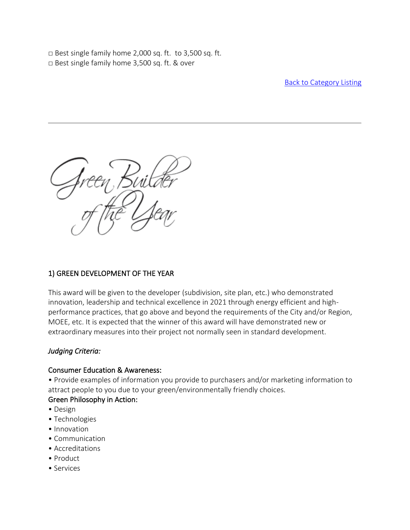$\Box$  Best single family home 2,000 sq. ft. to 3,500 sq. ft. □ Best single family home 3,500 sq. ft. & over

Back to Category Listing

### 1) GREEN DEVELOPMENT OF THE YEAR

This award will be given to the developer (subdivision, site plan, etc.) who demonstrated innovation, leadership and technical excellence in 2021 through energy efficient and highperformance practices, that go above and beyond the requirements of the City and/or Region, MOEE, etc. It is expected that the winner of this award will have demonstrated new or extraordinary measures into their project not normally seen in standard development.

### *Judging Criteria:*

#### Consumer Education & Awareness:

• Provide examples of information you provide to purchasers and/or marketing information to attract people to you due to your green/environmentally friendly choices.

### Green Philosophy in Action:

- Design
- Technologies
- Innovation
- Communication
- Accreditations
- Product
- Services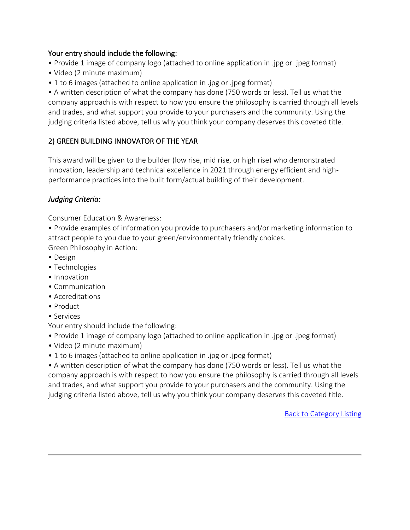#### Your entry should include the following:

- Provide 1 image of company logo (attached to online application in .jpg or .jpeg format)
- Video (2 minute maximum)
- 1 to 6 images (attached to online application in .jpg or .jpeg format)

• A written description of what the company has done (750 words or less). Tell us what the company approach is with respect to how you ensure the philosophy is carried through all levels and trades, and what support you provide to your purchasers and the community. Using the judging criteria listed above, tell us why you think your company deserves this coveted title.

## 2) GREEN BUILDING INNOVATOR OF THE YEAR

This award will be given to the builder (low rise, mid rise, or high rise) who demonstrated innovation, leadership and technical excellence in 2021 through energy efficient and highperformance practices into the built form/actual building of their development.

### *Judging Criteria:*

Consumer Education & Awareness:

• Provide examples of information you provide to purchasers and/or marketing information to attract people to you due to your green/environmentally friendly choices. Green Philosophy in Action:

- Design
- Technologies
- Innovation
- Communication
- Accreditations
- Product
- Services

Your entry should include the following:

- Provide 1 image of company logo (attached to online application in .jpg or .jpeg format)
- Video (2 minute maximum)
- 1 to 6 images (attached to online application in .jpg or .jpeg format)

• A written description of what the company has done (750 words or less). Tell us what the company approach is with respect to how you ensure the philosophy is carried through all levels and trades, and what support you provide to your purchasers and the community. Using the judging criteria listed above, tell us why you think your company deserves this coveted title.